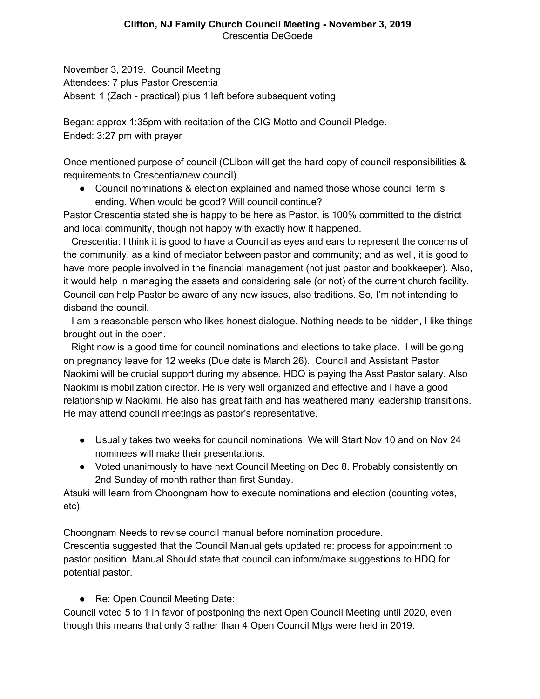November 3, 2019. Council Meeting Attendees: 7 plus Pastor Crescentia Absent: 1 (Zach - practical) plus 1 left before subsequent voting

Began: approx 1:35pm with recitation of the CIG Motto and Council Pledge. Ended: 3:27 pm with prayer

Onoe mentioned purpose of council (CLibon will get the hard copy of council responsibilities & requirements to Crescentia/new council)

● Council nominations & election explained and named those whose council term is ending. When would be good? Will council continue?

Pastor Crescentia stated she is happy to be here as Pastor, is 100% committed to the district and local community, though not happy with exactly how it happened.

 Crescentia: I think it is good to have a Council as eyes and ears to represent the concerns of the community, as a kind of mediator between pastor and community; and as well, it is good to have more people involved in the financial management (not just pastor and bookkeeper). Also, it would help in managing the assets and considering sale (or not) of the current church facility. Council can help Pastor be aware of any new issues, also traditions. So, I'm not intending to disband the council.

 I am a reasonable person who likes honest dialogue. Nothing needs to be hidden, I like things brought out in the open.

 Right now is a good time for council nominations and elections to take place. I will be going on pregnancy leave for 12 weeks (Due date is March 26). Council and Assistant Pastor Naokimi will be crucial support during my absence. HDQ is paying the Asst Pastor salary. Also Naokimi is mobilization director. He is very well organized and effective and I have a good relationship w Naokimi. He also has great faith and has weathered many leadership transitions. He may attend council meetings as pastor's representative.

- Usually takes two weeks for council nominations. We will Start Nov 10 and on Nov 24 nominees will make their presentations.
- Voted unanimously to have next Council Meeting on Dec 8. Probably consistently on 2nd Sunday of month rather than first Sunday.

Atsuki will learn from Choongnam how to execute nominations and election (counting votes, etc).

Choongnam Needs to revise council manual before nomination procedure. Crescentia suggested that the Council Manual gets updated re: process for appointment to pastor position. Manual Should state that council can inform/make suggestions to HDQ for potential pastor.

● Re: Open Council Meeting Date:

Council voted 5 to 1 in favor of postponing the next Open Council Meeting until 2020, even though this means that only 3 rather than 4 Open Council Mtgs were held in 2019.